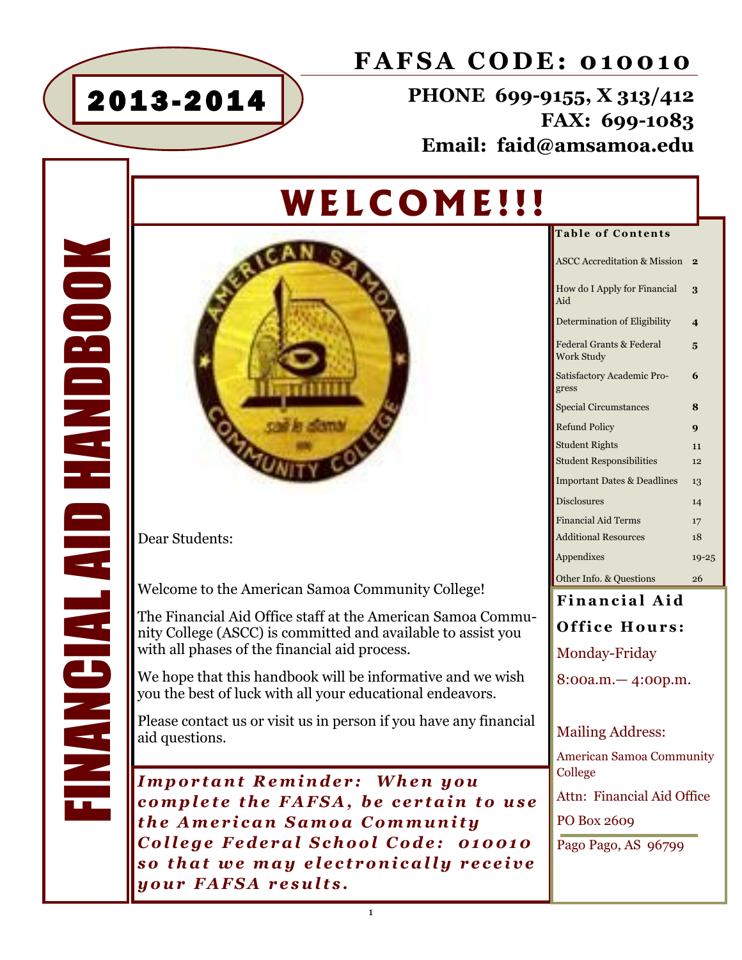

### **FAFSA CODE: 010010**

**PHONE 699-9155, X 313/412 FAX: 699-1083 Email: faid@amsamoa.edu**

# **W E L COM E ! ! !**

**Table of Contents**  $\frac{1}{2}$ 

| ASCC Accreditation & Mission                             | z                       |
|----------------------------------------------------------|-------------------------|
| How do I Apply for Financial<br>Aid                      | 3                       |
| Determination of Eligibility                             | $\overline{\mathbf{4}}$ |
| <b>Federal Grants &amp; Federal</b><br><b>Work Study</b> | 5                       |
| Satisfactory Academic Pro-<br>gress                      | 6                       |
| <b>Special Circumstances</b>                             | 8                       |
| <b>Refund Policy</b>                                     | $\boldsymbol{Q}$        |
| <b>Student Rights</b>                                    | 11                      |
| <b>Student Responsibilities</b>                          | 12                      |
| <b>Important Dates &amp; Deadlines</b>                   | 13                      |
| <b>Disclosures</b>                                       | 14                      |
| <b>Financial Aid Terms</b>                               | 17                      |
| <b>Additional Resources</b>                              | 18                      |
| Appendixes                                               | $19 - 25$               |
| Other Info. & Questions                                  | 26                      |

### **Financial Aid Office Hours:** Monday-Friday 8:00a.m.— 4:00p.m.

#### Mailing Address:

American Samoa Community College

Attn: Financial Aid Office

PO Box 2609

Pago Pago, AS 96799

Dear Students:

**MANCIAL AID HANDBOO** 

Welcome to the American Samoa Community College!

The Financial Aid Office staff at the American Samoa Community College (ASCC) is committed and available to assist you with all phases of the financial aid process.

We hope that this handbook will be informative and we wish you the best of luck with all your educational endeavors.

Please contact us or visit us in person if you have any financial aid questions. FINANCIAL AID HANDBOOK

*I m p o r t a n t R e m i n d e r : W h e n y o u complete the FAFSA, be certain to use t h e A m e r i c a n S a m o a C o m m u n i t y*  College Federal School Code: 010010 so that we may electronically receive *y o u r F A F S A r e s u l t s .*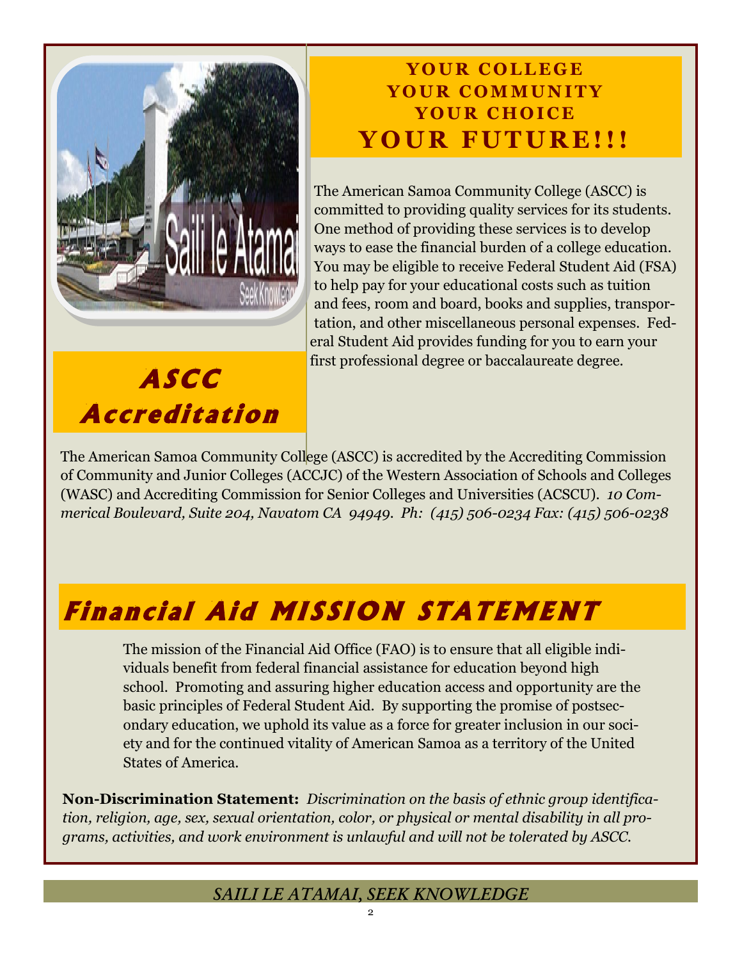

**A S C C** 

**A c c r e di t a ti o n** 

### YOUR COLLEGE **Y O U R C O M M U N I T Y** YOUR CHOICE **Y O U R F U T U R E ! ! !**

The American Samoa Community College (ASCC) is committed to providing quality services for its students. One method of providing these services is to develop ways to ease the financial burden of a college education. You may be eligible to receive Federal Student Aid (FSA) to help pay for your educational costs such as tuition and fees, room and board, books and supplies, transportation, and other miscellaneous personal expenses. Federal Student Aid provides funding for you to earn your first professional degree or baccalaureate degree.

The American Samoa Community College (ASCC) is accredited by the Accrediting Commission of Community and Junior Colleges (ACCJC) of the Western Association of Schools and Colleges (WASC) and Accrediting Commission for Senior Colleges and Universities (ACSCU). *10 Commerical Boulevard, Suite 204, Navatom CA 94949. Ph: (415) 506-0234 Fax: (415) 506-0238*

## **Financial Aid MISSION STATEMENT**

The mission of the Financial Aid Office (FAO) is to ensure that all eligible individuals benefit from federal financial assistance for education beyond high school. Promoting and assuring higher education access and opportunity are the basic principles of Federal Student Aid. By supporting the promise of postsecondary education, we uphold its value as a force for greater inclusion in our society and for the continued vitality of American Samoa as a territory of the United States of America.

**Non-Discrimination Statement:** *Discrimination on the basis of ethnic group identification, religion, age, sex, sexual orientation, color, or physical or mental disability in all programs, activities, and work environment is unlawful and will not be tolerated by ASCC.*

### *SAILI LE ATAMAI, SEEK KNOWLEDGE*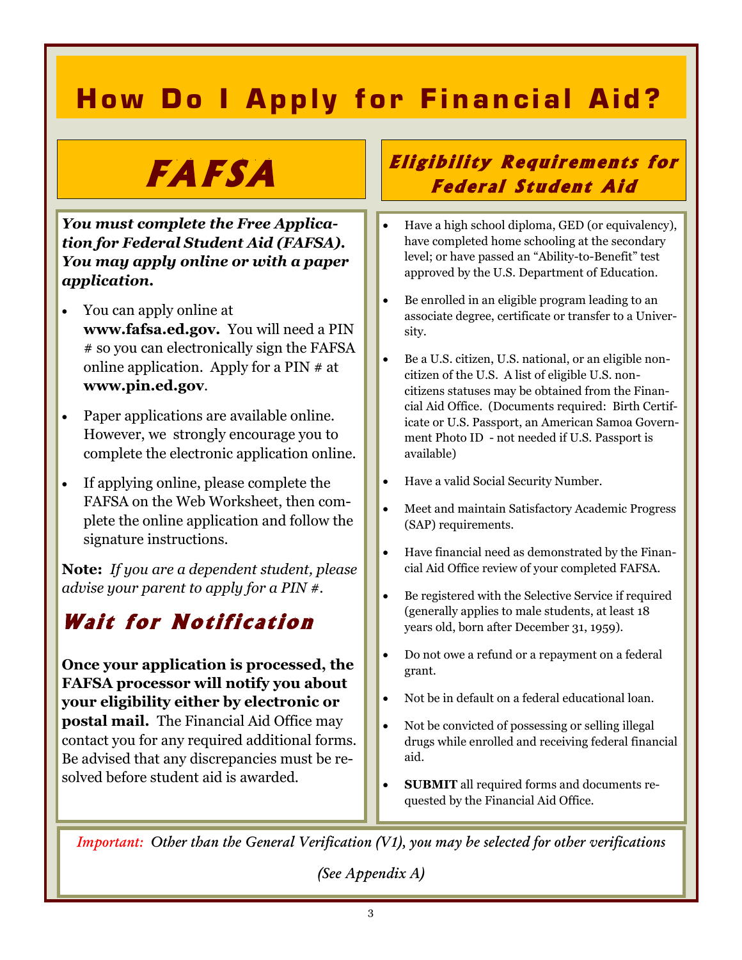### **How Do I Apply for Financial Aid?**

# **F A F S A**

*You must complete the Free Application for Federal Student Aid (FAFSA). You may apply online or with a paper application.*

- You can apply online at **www.fafsa.ed.gov.** You will need a PIN # so you can electronically sign the FAFSA online application. Apply for a PIN # at **www.pin.ed.gov**.
- Paper applications are available online. However, we strongly encourage you to complete the electronic application online.
- If applying online, please complete the FAFSA on the Web Worksheet, then complete the online application and follow the signature instructions.

**Note:** *If you are a dependent student, please advise your parent to apply for a PIN #.*

### **Wait for Notification**

**Once your application is processed, the FAFSA processor will notify you about your eligibility either by electronic or postal mail.** The Financial Aid Office may contact you for any required additional forms. Be advised that any discrepancies must be resolved before student aid is awarded.

### **Eligibility Requirements for Federal Student Aid**

- Have a high school diploma, GED (or equivalency), have completed home schooling at the secondary level; or have passed an "Ability-to-Benefit" test approved by the U.S. Department of Education.
- Be enrolled in an eligible program leading to an associate degree, certificate or transfer to a University.
- Be a U.S. citizen, U.S. national, or an eligible noncitizen of the U.S. A list of eligible U.S. noncitizens statuses may be obtained from the Financial Aid Office. (Documents required: Birth Certificate or U.S. Passport, an American Samoa Government Photo ID - not needed if U.S. Passport is available)
- Have a valid Social Security Number.
- Meet and maintain Satisfactory Academic Progress (SAP) requirements.
- Have financial need as demonstrated by the Financial Aid Office review of your completed FAFSA.
- Be registered with the Selective Service if required (generally applies to male students, at least 18 years old, born after December 31, 1959).
- Do not owe a refund or a repayment on a federal grant.
- Not be in default on a federal educational loan.
- Not be convicted of possessing or selling illegal drugs while enrolled and receiving federal financial aid.
- **SUBMIT** all required forms and documents requested by the Financial Aid Office.

*Important: Other than the General Verification (V1), you may be selected for other verifications* 

*(See Appendix A)*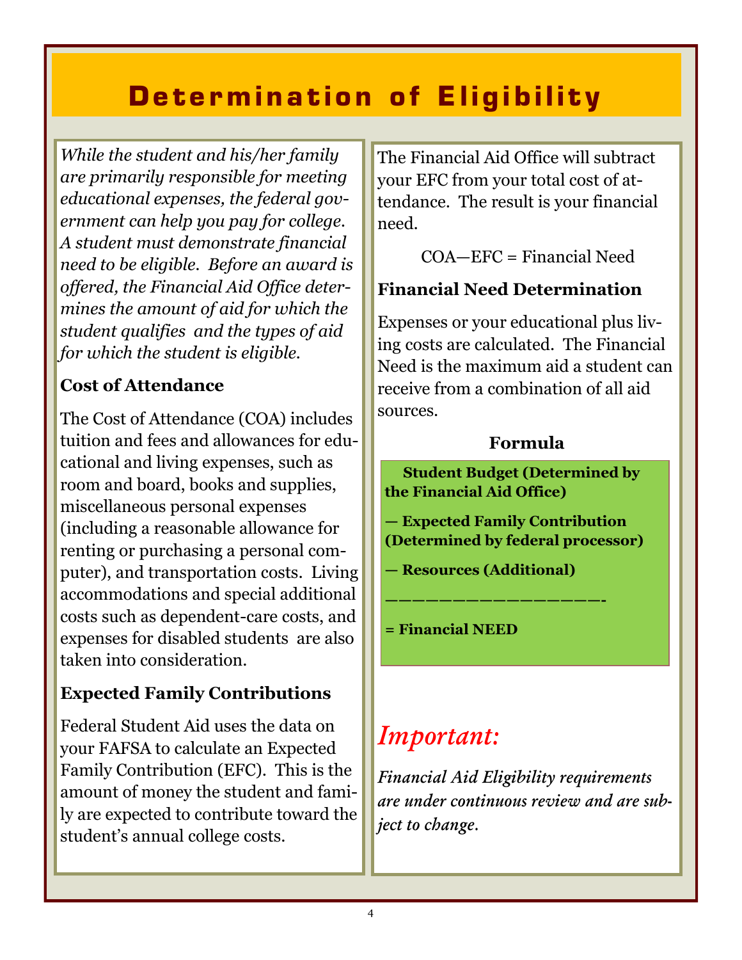## **Determination of Eligibility**

*While the student and his/her family are primarily responsible for meeting educational expenses, the federal government can help you pay for college. A student must demonstrate financial need to be eligible. Before an award is offered, the Financial Aid Office determines the amount of aid for which the student qualifies and the types of aid for which the student is eligible.*

### **Cost of Attendance**

The Cost of Attendance (COA) includes tuition and fees and allowances for educational and living expenses, such as room and board, books and supplies, miscellaneous personal expenses (including a reasonable allowance for renting or purchasing a personal computer), and transportation costs. Living accommodations and special additional costs such as dependent-care costs, and expenses for disabled students are also taken into consideration.

### **Expected Family Contributions**

Federal Student Aid uses the data on your FAFSA to calculate an Expected Family Contribution (EFC). This is the amount of money the student and family are expected to contribute toward the student's annual college costs.

The Financial Aid Office will subtract your EFC from your total cost of attendance. The result is your financial need.

COA—EFC = Financial Need

### **Financial Need Determination**

Expenses or your educational plus living costs are calculated. The Financial Need is the maximum aid a student can receive from a combination of all aid sources.

### **Formula**

 **Student Budget (Determined by the Financial Aid Office)**

**— Expected Family Contribution (Determined by federal processor)**

**— Resources (Additional)**

**————————————————-**

**= Financial NEED**

## *Important:*

*Financial Aid Eligibility requirements are under continuous review and are subject to change.*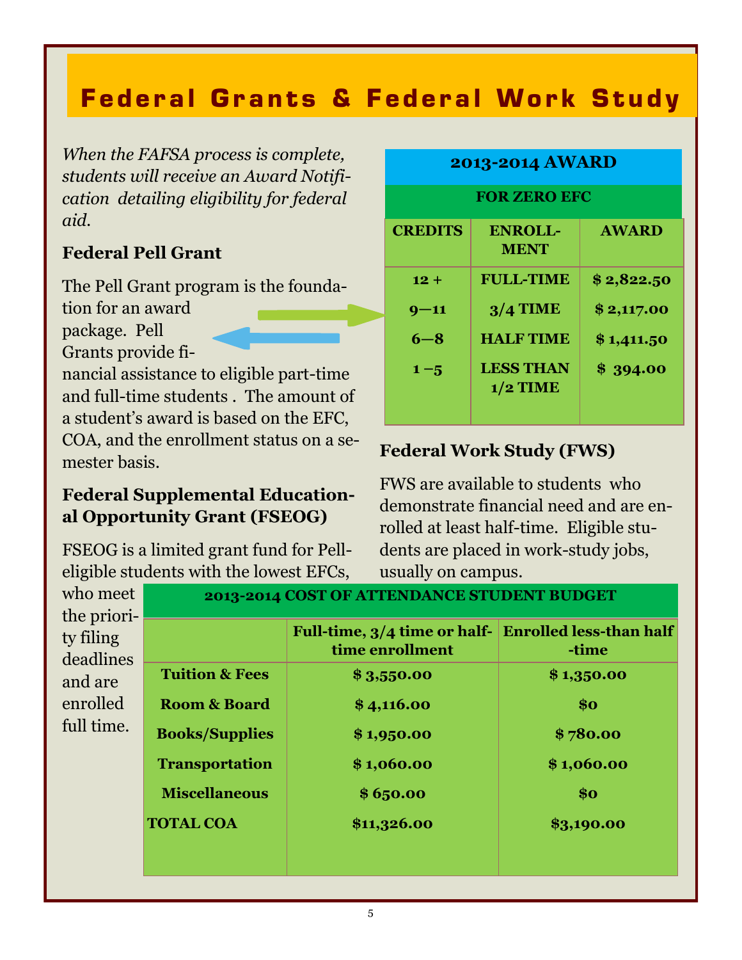### **Federal Grants & Federal Work Study**

*When the FAFSA process is complete, students will receive an Award Notification detailing eligibility for federal aid.* 

### **Federal Pell Grant**

The Pell Grant program is the founda-

tion for an award

package. Pell

Grants provide fi-

nancial assistance to eligible part-time and full-time students . The amount of a student's award is based on the EFC, COA, and the enrollment status on a semester basis.

### **Federal Supplemental Educational Opportunity Grant (FSEOG)**

FSEOG is a limited grant fund for Pelleligible students with the lowest EFCs,

**2013-2014 AWARD**

**FOR ZERO EFC**

| <b>CREDITS</b> | <b>ENROLL-</b><br><b>MENT</b>  | <b>AWARD</b> |
|----------------|--------------------------------|--------------|
| $12 +$         | <b>FULL-TIME</b>               | \$2,822.50   |
| $9 - 11$       | $3/4$ TIME                     | \$2,117.00   |
| $6 - 8$        | <b>HALF TIME</b>               | \$1,411.50   |
| $1 - 5$        | <b>LESS THAN</b><br>$1/2$ TIME | \$394.00     |

### **Federal Work Study (FWS)**

FWS are available to students who demonstrate financial need and are enrolled at least half-time. Eligible students are placed in work-study jobs, usually on campus.

| who meet                              | 2013-2014 COST OF ATTENDANCE STUDENT BUDGET |                                                                         |            |  |
|---------------------------------------|---------------------------------------------|-------------------------------------------------------------------------|------------|--|
| the priori-<br>ty filing<br>deadlines |                                             | Full-time, 3/4 time or half- Enrolled less-than half<br>time enrollment | -time      |  |
| and are                               | <b>Tuition &amp; Fees</b>                   | \$3,550.00                                                              | \$1,350.00 |  |
| enrolled                              | <b>Room &amp; Board</b>                     | \$4,116.00                                                              | \$o        |  |
| full time.                            | <b>Books/Supplies</b>                       | \$1,950.00                                                              | \$780.00   |  |
|                                       | <b>Transportation</b>                       | \$1,060.00                                                              | \$1,060.00 |  |
|                                       | <b>Miscellaneous</b>                        | \$6,50.00                                                               | \$o        |  |
|                                       | <b>TOTAL COA</b>                            | \$11,326.00                                                             | \$3,190.00 |  |
|                                       |                                             |                                                                         |            |  |
|                                       |                                             |                                                                         |            |  |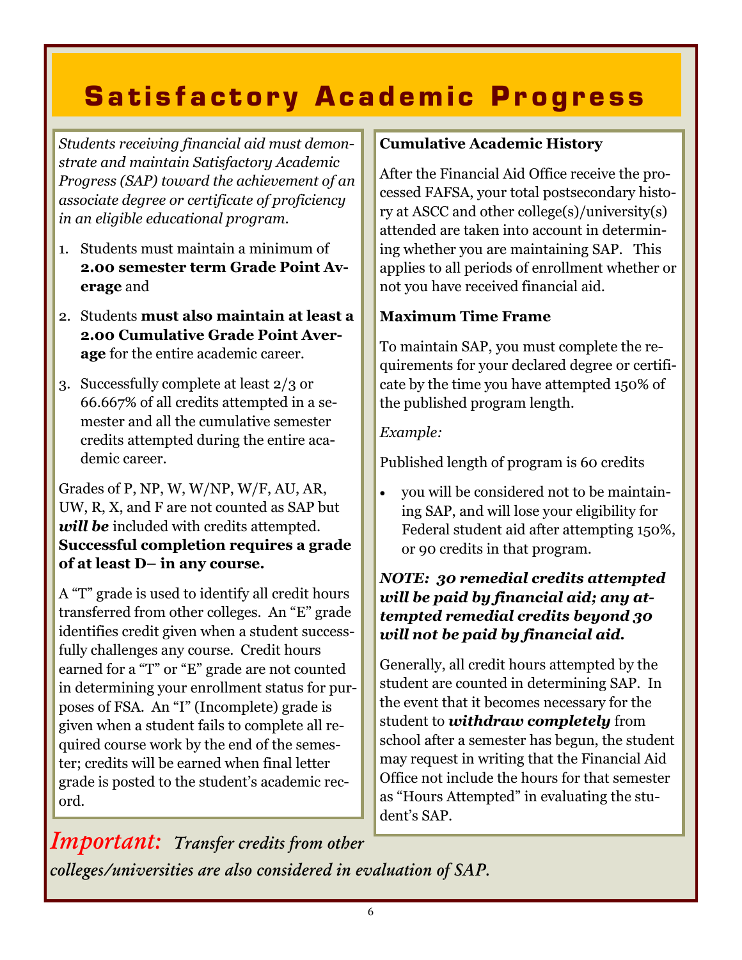## **Satisfactory Academic Progress**

*Students receiving financial aid must demonstrate and maintain Satisfactory Academic Progress (SAP) toward the achievement of an associate degree or certificate of proficiency in an eligible educational program.*

- 1. Students must maintain a minimum of **2.00 semester term Grade Point Average** and
- 2. Students **must also maintain at least a 2.00 Cumulative Grade Point Average** for the entire academic career.
- 3. Successfully complete at least 2/3 or 66.667% of all credits attempted in a semester and all the cumulative semester credits attempted during the entire academic career.

Grades of P, NP, W, W/NP, W/F, AU, AR, UW, R, X, and F are not counted as SAP but will be included with credits attempted. **Successful completion requires a grade of at least D– in any course.**

A "T" grade is used to identify all credit hours transferred from other colleges. An "E" grade identifies credit given when a student successfully challenges any course. Credit hours earned for a "T" or "E" grade are not counted in determining your enrollment status for purposes of FSA. An "I" (Incomplete) grade is given when a student fails to complete all required course work by the end of the semester; credits will be earned when final letter grade is posted to the student's academic record.

### **Cumulative Academic History**

After the Financial Aid Office receive the processed FAFSA, your total postsecondary history at ASCC and other college(s)/university(s) attended are taken into account in determining whether you are maintaining SAP. This applies to all periods of enrollment whether or not you have received financial aid.

### **Maximum Time Frame**

To maintain SAP, you must complete the requirements for your declared degree or certificate by the time you have attempted 150% of the published program length.

### *Example:*

Published length of program is 60 credits

 you will be considered not to be maintaining SAP, and will lose your eligibility for Federal student aid after attempting 150%, or 90 credits in that program.

### *NOTE: 30 remedial credits attempted will be paid by financial aid; any attempted remedial credits beyond 30 will not be paid by financial aid.*

Generally, all credit hours attempted by the student are counted in determining SAP. In the event that it becomes necessary for the student to *withdraw completely* from school after a semester has begun, the student may request in writing that the Financial Aid Office not include the hours for that semester as "Hours Attempted" in evaluating the student's SAP.

*Important: Transfer credits from other colleges/universities are also considered in evaluation of SAP.*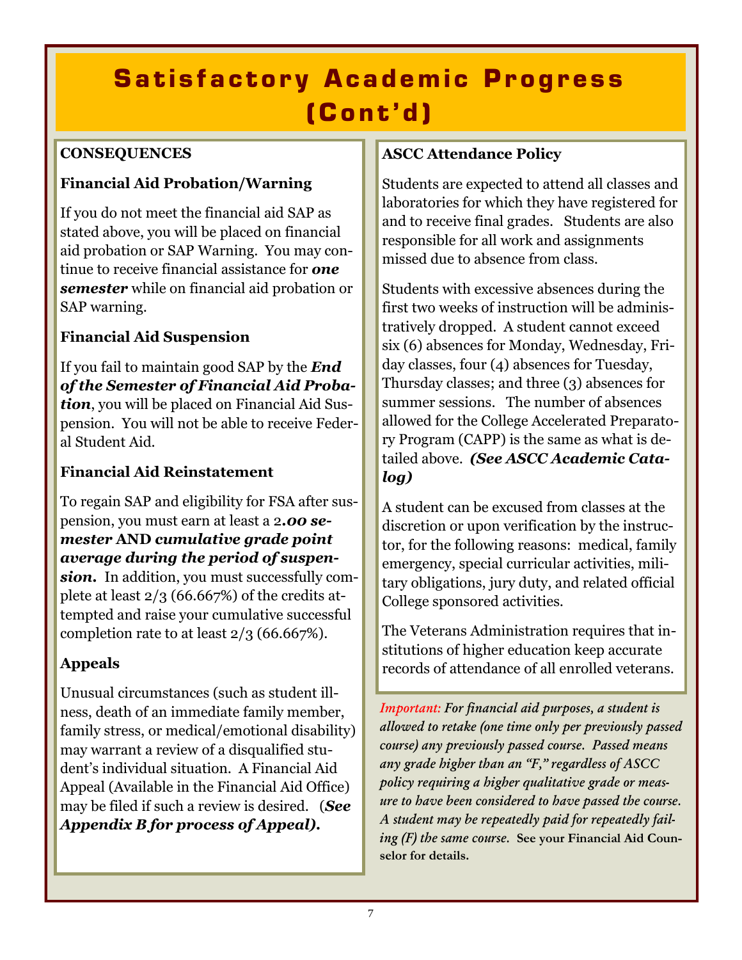## **Satisfactory Academic Progress ( C o n t ' d )**

### **CONSEQUENCES**

### **Financial Aid Probation/Warning**

If you do not meet the financial aid SAP as stated above, you will be placed on financial aid probation or SAP Warning. You may continue to receive financial assistance for *one semester* while on financial aid probation or SAP warning.

### **Financial Aid Suspension**

If you fail to maintain good SAP by the *End of the Semester of Financial Aid Probation*, you will be placed on Financial Aid Suspension. You will not be able to receive Federal Student Aid.

### **Financial Aid Reinstatement**

To regain SAP and eligibility for FSA after suspension, you must earn at least a 2*.00 semester* **AND** *cumulative grade point average during the period of suspension.* In addition, you must successfully complete at least 2/3 (66.667%) of the credits attempted and raise your cumulative successful completion rate to at least 2/3 (66.667%).

### **Appeals**

Unusual circumstances (such as student illness, death of an immediate family member, family stress, or medical/emotional disability) may warrant a review of a disqualified student's individual situation. A Financial Aid Appeal (Available in the Financial Aid Office) may be filed if such a review is desired. (*See Appendix B for process of Appeal).* 

### **ASCC Attendance Policy**

Students are expected to attend all classes and laboratories for which they have registered for and to receive final grades. Students are also responsible for all work and assignments missed due to absence from class.

Students with excessive absences during the first two weeks of instruction will be administratively dropped. A student cannot exceed six (6) absences for Monday, Wednesday, Friday classes, four (4) absences for Tuesday, Thursday classes; and three (3) absences for summer sessions. The number of absences allowed for the College Accelerated Preparatory Program (CAPP) is the same as what is detailed above. *(See ASCC Academic Catalog)*

A student can be excused from classes at the discretion or upon verification by the instructor, for the following reasons: medical, family emergency, special curricular activities, military obligations, jury duty, and related official College sponsored activities.

The Veterans Administration requires that institutions of higher education keep accurate records of attendance of all enrolled veterans.

*Important: For financial aid purposes, a student is allowed to retake (one time only per previously passed course) any previously passed course. Passed means any grade higher than an "F," regardless of ASCC policy requiring a higher qualitative grade or measure to have been considered to have passed the course. A student may be repeatedly paid for repeatedly failing (F) the same course.* **See your Financial Aid Counselor for details.**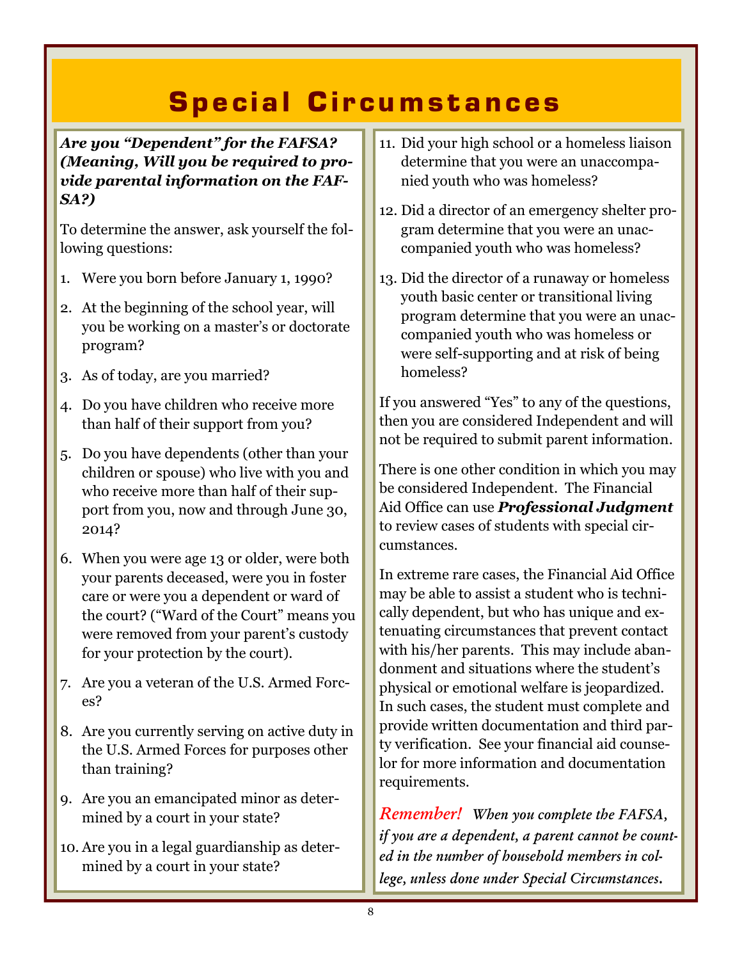## Special Circumstances

*Are you "Dependent" for the FAFSA? (Meaning, Will you be required to provide parental information on the FAF-SA?)*

To determine the answer, ask yourself the following questions:

- 1. Were you born before January 1, 1990?
- 2. At the beginning of the school year, will you be working on a master's or doctorate program?
- 3. As of today, are you married?
- 4. Do you have children who receive more than half of their support from you?
- 5. Do you have dependents (other than your children or spouse) who live with you and who receive more than half of their support from you, now and through June 30, 2014?
- 6. When you were age 13 or older, were both your parents deceased, were you in foster care or were you a dependent or ward of the court? ("Ward of the Court" means you were removed from your parent's custody for your protection by the court).
- 7. Are you a veteran of the U.S. Armed Forces?
- 8. Are you currently serving on active duty in the U.S. Armed Forces for purposes other than training?
- 9. Are you an emancipated minor as determined by a court in your state?
- 10. Are you in a legal guardianship as determined by a court in your state?
- 11. Did your high school or a homeless liaison determine that you were an unaccompanied youth who was homeless?
- 12. Did a director of an emergency shelter program determine that you were an unaccompanied youth who was homeless?
- 13. Did the director of a runaway or homeless youth basic center or transitional living program determine that you were an unaccompanied youth who was homeless or were self-supporting and at risk of being homeless?

If you answered "Yes" to any of the questions, then you are considered Independent and will not be required to submit parent information.

There is one other condition in which you may be considered Independent. The Financial Aid Office can use *Professional Judgment*  to review cases of students with special circumstances.

In extreme rare cases, the Financial Aid Office may be able to assist a student who is technically dependent, but who has unique and extenuating circumstances that prevent contact with his/her parents. This may include abandonment and situations where the student's physical or emotional welfare is jeopardized. In such cases, the student must complete and provide written documentation and third party verification. See your financial aid counselor for more information and documentation requirements.

*Remember! When you complete the FAFSA, if you are a dependent, a parent cannot be counted in the number of household members in college, unless done under Special Circumstances.*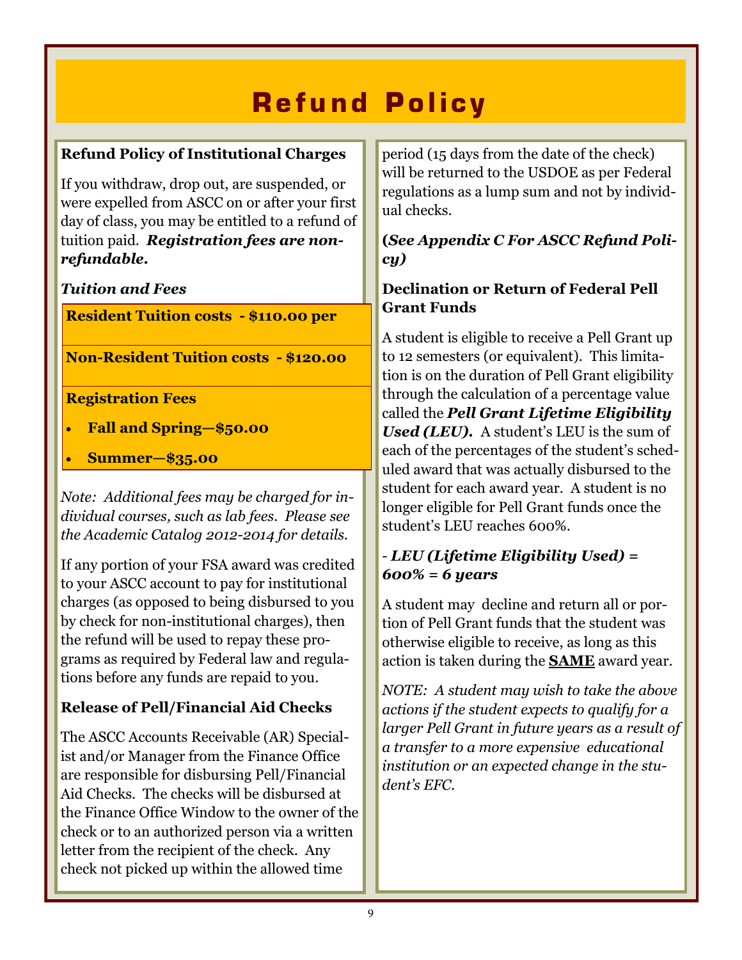## **R e f u n d P o l i c y**

### **Refund Policy of Institutional Charges**

If you withdraw, drop out, are suspended, or were expelled from ASCC on or after your first day of class, you may be entitled to a refund of tuition paid. *Registration fees are nonrefundable.*

### *Tuition and Fees*

**Resident Tuition costs - \$110.00 per** 

**Non-Resident Tuition costs - \$120.00** 

### **Registration Fees**

- **Fall and Spring—\$50.00**
- **Summer—\$35.00**

*Note: Additional fees may be charged for individual courses, such as lab fees. Please see the Academic Catalog 2012-2014 for details.*

If any portion of your FSA award was credited to your ASCC account to pay for institutional charges (as opposed to being disbursed to you by check for non-institutional charges), then the refund will be used to repay these programs as required by Federal law and regulations before any funds are repaid to you.

### **Release of Pell/Financial Aid Checks**

The ASCC Accounts Receivable (AR) Specialist and/or Manager from the Finance Office are responsible for disbursing Pell/Financial Aid Checks. The checks will be disbursed at the Finance Office Window to the owner of the check or to an authorized person via a written letter from the recipient of the check. Any check not picked up within the allowed time

period (15 days from the date of the check) will be returned to the USDOE as per Federal regulations as a lump sum and not by individual checks.

### **(***See Appendix C For ASCC Refund Policy)*

### **Declination or Return of Federal Pell Grant Funds**

A student is eligible to receive a Pell Grant up to 12 semesters (or equivalent). This limitation is on the duration of Pell Grant eligibility through the calculation of a percentage value called the *Pell Grant Lifetime Eligibility Used (LEU).* A student's LEU is the sum of each of the percentages of the student's scheduled award that was actually disbursed to the student for each award year. A student is no longer eligible for Pell Grant funds once the student's LEU reaches 600%.

### - *LEU (Lifetime Eligibility Used) = 600% = 6 years*

A student may decline and return all or portion of Pell Grant funds that the student was otherwise eligible to receive, as long as this action is taken during the **SAME** award year.

*NOTE: A student may wish to take the above actions if the student expects to qualify for a larger Pell Grant in future years as a result of a transfer to a more expensive educational institution or an expected change in the student's EFC.*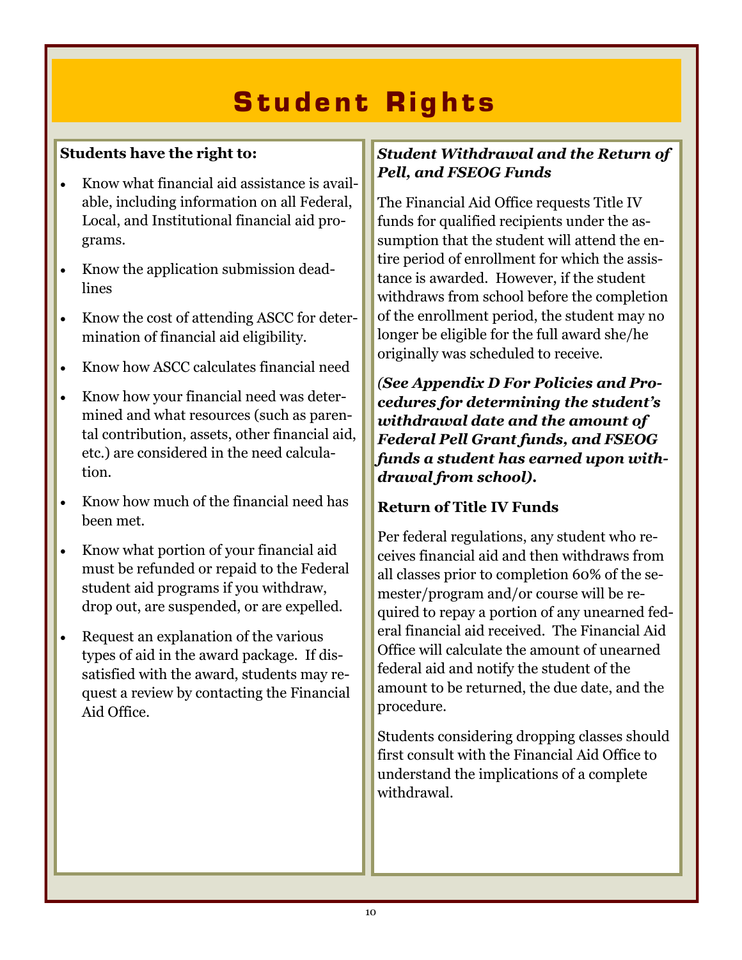## **Student Rights**

### **Students have the right to:**

- Know what financial aid assistance is available, including information on all Federal, Local, and Institutional financial aid programs.
- Know the application submission deadlines
- Know the cost of attending ASCC for determination of financial aid eligibility.
- Know how ASCC calculates financial need
- Know how your financial need was determined and what resources (such as parental contribution, assets, other financial aid, etc.) are considered in the need calculation.
- Know how much of the financial need has been met.
- Know what portion of your financial aid must be refunded or repaid to the Federal student aid programs if you withdraw, drop out, are suspended, or are expelled.
- Request an explanation of the various types of aid in the award package. If dissatisfied with the award, students may request a review by contacting the Financial Aid Office.

### *Student Withdrawal and the Return of Pell, and FSEOG Funds*

The Financial Aid Office requests Title IV funds for qualified recipients under the assumption that the student will attend the entire period of enrollment for which the assistance is awarded. However, if the student withdraws from school before the completion of the enrollment period, the student may no longer be eligible for the full award she/he originally was scheduled to receive.

*(See Appendix D For Policies and Procedures for determining the student's withdrawal date and the amount of Federal Pell Grant funds, and FSEOG funds a student has earned upon withdrawal from school).*

### **Return of Title IV Funds**

Per federal regulations, any student who receives financial aid and then withdraws from all classes prior to completion 60% of the semester/program and/or course will be required to repay a portion of any unearned federal financial aid received. The Financial Aid Office will calculate the amount of unearned federal aid and notify the student of the amount to be returned, the due date, and the procedure.

Students considering dropping classes should first consult with the Financial Aid Office to understand the implications of a complete withdrawal.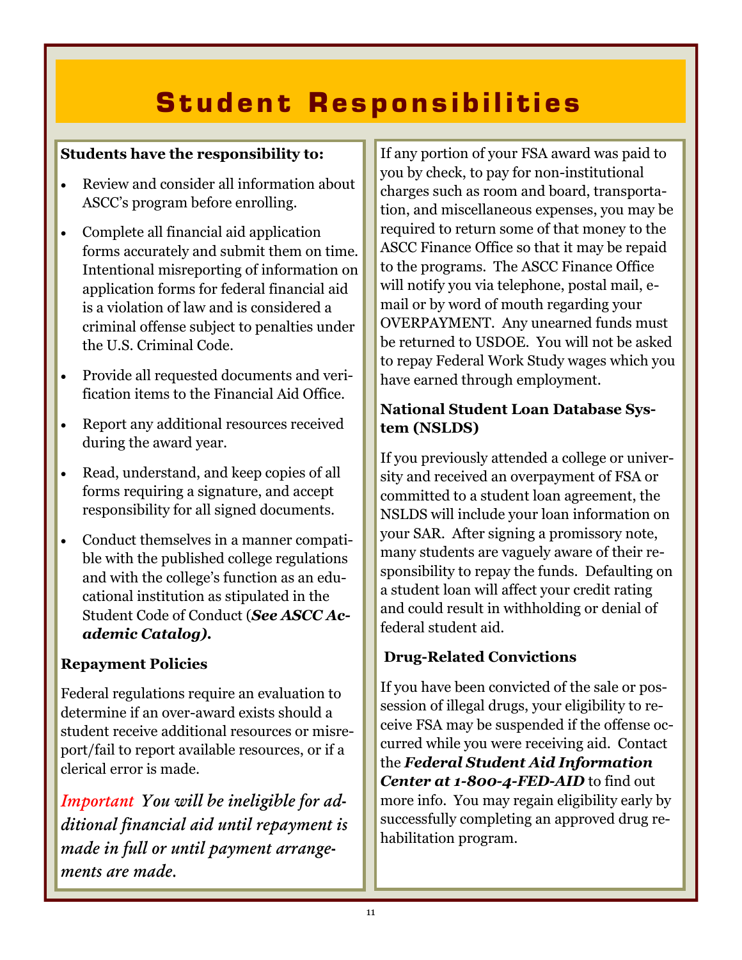## **S t u d e n t R e s p o n s i b i l i t i e s**

### **Students have the responsibility to:**

- Review and consider all information about ASCC's program before enrolling.
- Complete all financial aid application forms accurately and submit them on time. Intentional misreporting of information on application forms for federal financial aid is a violation of law and is considered a criminal offense subject to penalties under the U.S. Criminal Code.
- Provide all requested documents and verification items to the Financial Aid Office.
- Report any additional resources received during the award year.
- Read, understand, and keep copies of all forms requiring a signature, and accept responsibility for all signed documents.
- Conduct themselves in a manner compatible with the published college regulations and with the college's function as an educational institution as stipulated in the Student Code of Conduct (*See ASCC Academic Catalog).*

### **Repayment Policies**

Federal regulations require an evaluation to determine if an over-award exists should a student receive additional resources or misreport/fail to report available resources, or if a clerical error is made.

*Important You will be ineligible for additional financial aid until repayment is made in full or until payment arrangements are made.*

If any portion of your FSA award was paid to you by check, to pay for non-institutional charges such as room and board, transportation, and miscellaneous expenses, you may be required to return some of that money to the ASCC Finance Office so that it may be repaid to the programs. The ASCC Finance Office will notify you via telephone, postal mail, email or by word of mouth regarding your OVERPAYMENT. Any unearned funds must be returned to USDOE. You will not be asked to repay Federal Work Study wages which you have earned through employment.

### **National Student Loan Database System (NSLDS)**

If you previously attended a college or university and received an overpayment of FSA or committed to a student loan agreement, the NSLDS will include your loan information on your SAR. After signing a promissory note, many students are vaguely aware of their responsibility to repay the funds. Defaulting on a student loan will affect your credit rating and could result in withholding or denial of federal student aid.

### **Drug-Related Convictions**

If you have been convicted of the sale or possession of illegal drugs, your eligibility to receive FSA may be suspended if the offense occurred while you were receiving aid. Contact the *Federal Student Aid Information Center at 1-800-4-FED-AID* to find out more info. You may regain eligibility early by successfully completing an approved drug rehabilitation program.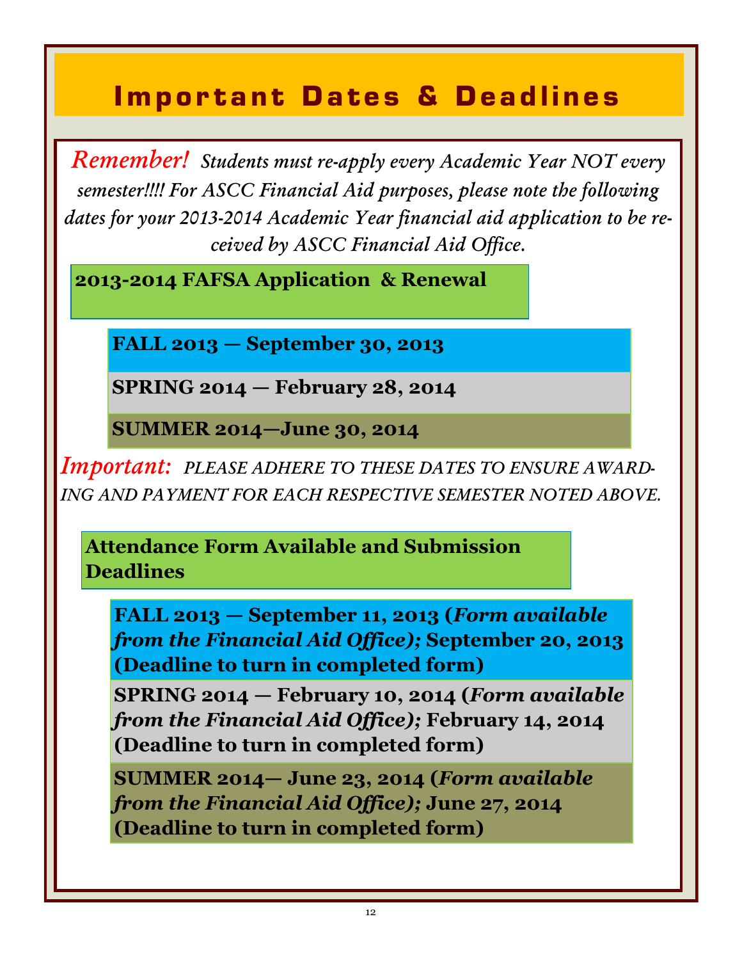### **Important Dates & Deadlines**

*Remember! Students must re-apply every Academic Year NOT every semester!!!! For ASCC Financial Aid purposes, please note the following dates for your 2013-2014 Academic Year financial aid application to be received by ASCC Financial Aid Office.* 

**2013-2014 FAFSA Application & Renewal** 

**FALL 2013 — September 30, 2013**

**SPRING 2014 — February 28, 2014**

**SUMMER 2014—June 30, 2014**

*Important: PLEASE ADHERE TO THESE DATES TO ENSURE AWARD-ING AND PAYMENT FOR EACH RESPECTIVE SEMESTER NOTED ABOVE.*

**Attendance Form Available and Submission Deadlines** 

**FALL 2013 — September 11, 2013 (***Form available from the Financial Aid Office);* **September 20, 2013 (Deadline to turn in completed form)**

**SPRING 2014 — February 10, 2014 (***Form available from the Financial Aid Office);* **February 14, 2014 (Deadline to turn in completed form)**

**SUMMER 2014— June 23, 2014 (***Form available from the Financial Aid Office);* **June 27, 2014 (Deadline to turn in completed form)**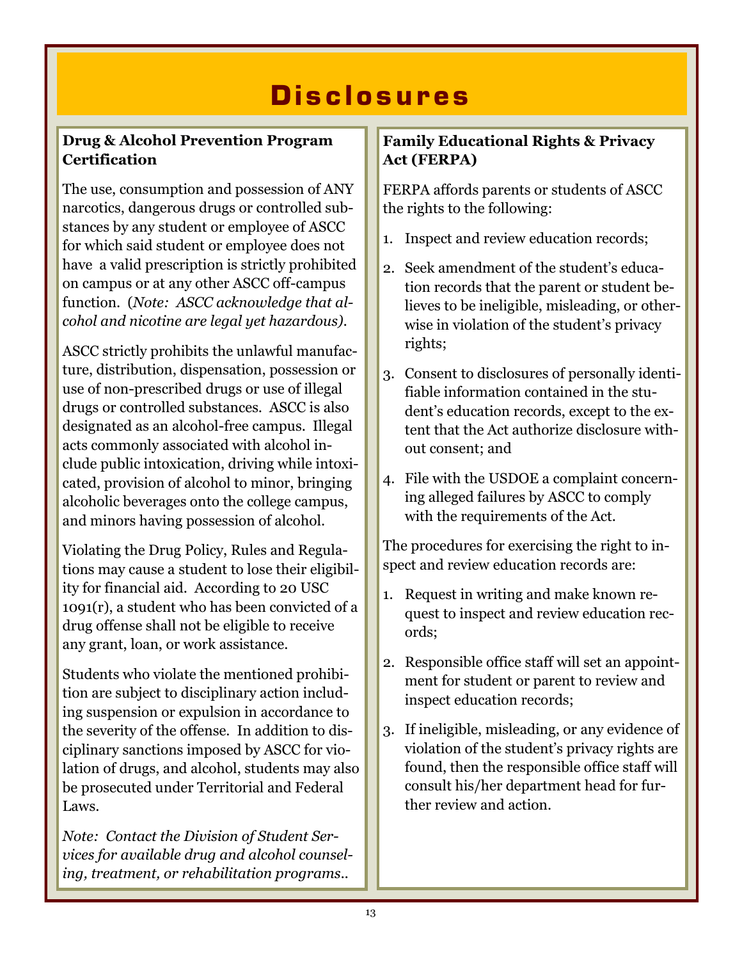### **D i s c l o s u r e s**

### **Drug & Alcohol Prevention Program Certification**

The use, consumption and possession of ANY narcotics, dangerous drugs or controlled substances by any student or employee of ASCC for which said student or employee does not have a valid prescription is strictly prohibited on campus or at any other ASCC off-campus function. (*Note: ASCC acknowledge that alcohol and nicotine are legal yet hazardous).*

ASCC strictly prohibits the unlawful manufacture, distribution, dispensation, possession or use of non-prescribed drugs or use of illegal drugs or controlled substances. ASCC is also designated as an alcohol-free campus. Illegal acts commonly associated with alcohol include public intoxication, driving while intoxicated, provision of alcohol to minor, bringing alcoholic beverages onto the college campus, and minors having possession of alcohol.

Violating the Drug Policy, Rules and Regulations may cause a student to lose their eligibility for financial aid. According to 20 USC 1091(r), a student who has been convicted of a drug offense shall not be eligible to receive any grant, loan, or work assistance.

Students who violate the mentioned prohibition are subject to disciplinary action including suspension or expulsion in accordance to the severity of the offense. In addition to disciplinary sanctions imposed by ASCC for violation of drugs, and alcohol, students may also be prosecuted under Territorial and Federal Laws.

*Note: Contact the Division of Student Services for available drug and alcohol counseling, treatment, or rehabilitation programs..*

#### **Family Educational Rights & Privacy Act (FERPA)**

FERPA affords parents or students of ASCC the rights to the following:

- 1. Inspect and review education records;
- 2. Seek amendment of the student's education records that the parent or student believes to be ineligible, misleading, or otherwise in violation of the student's privacy rights;
- 3. Consent to disclosures of personally identifiable information contained in the student's education records, except to the extent that the Act authorize disclosure without consent; and
- 4. File with the USDOE a complaint concerning alleged failures by ASCC to comply with the requirements of the Act.

The procedures for exercising the right to inspect and review education records are:

- 1. Request in writing and make known request to inspect and review education records;
- 2. Responsible office staff will set an appointment for student or parent to review and inspect education records;
- 3. If ineligible, misleading, or any evidence of violation of the student's privacy rights are found, then the responsible office staff will consult his/her department head for further review and action.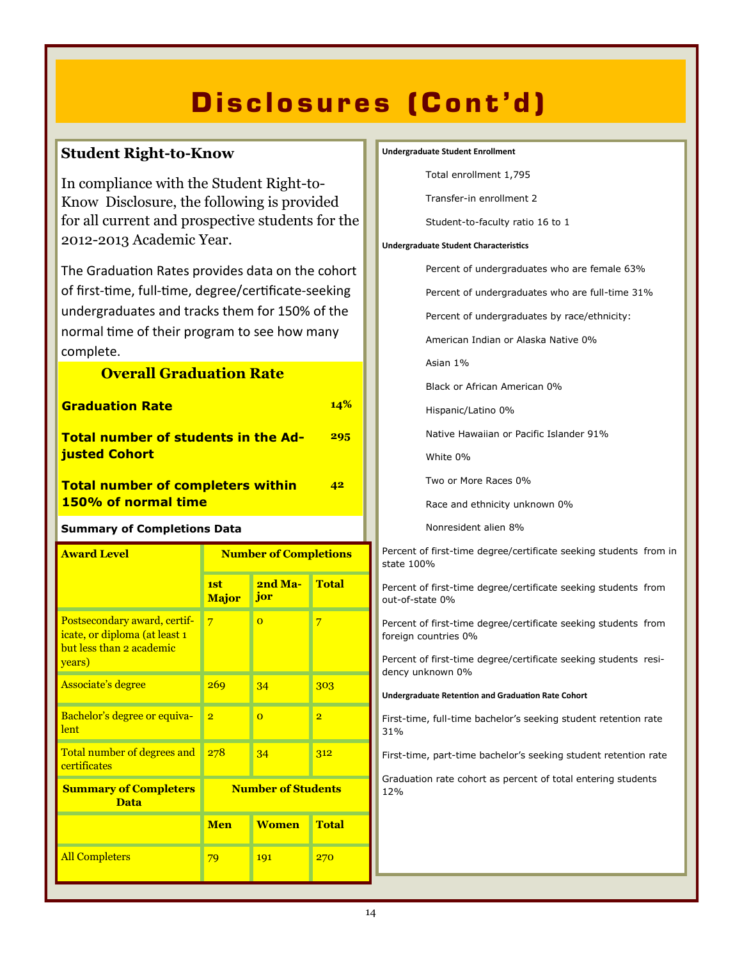## **Disclosures (Cont'd)**

#### **Student Right-to-Know**

In compliance with the Student Right-to-Know Disclosure, the following is provided for all current and prospective students for the 2012-2013 Academic Year.

The Graduation Rates provides data on the cohort of first-time, full-time, degree/certificate-seeking undergraduates and tracks them for 150% of the normal time of their program to see how many complete.

| <b>Overall Graduation Rate</b>                                                                      |                              |                |                |
|-----------------------------------------------------------------------------------------------------|------------------------------|----------------|----------------|
| <b>Graduation Rate</b>                                                                              |                              |                | 14%            |
| <b>Total number of students in the Ad-</b><br>justed Cohort                                         |                              |                | 295            |
| <b>Total number of completers within</b><br>150% of normal time                                     |                              |                | 42             |
| <b>Summary of Completions Data</b>                                                                  |                              |                |                |
| <b>Award Level</b>                                                                                  | <b>Number of Completions</b> |                |                |
|                                                                                                     | 1st<br><b>Major</b>          | 2nd Ma-<br>jor | <b>Total</b>   |
| Postsecondary award, certif-<br>icate, or diploma (at least 1<br>but less than 2 academic<br>years) | $\overline{7}$               | $\overline{O}$ | 7              |
| <b>Associate's degree</b>                                                                           | 269                          | 34             | 303            |
| Bachelor's degree or equiva-<br>lent                                                                | $\overline{2}$               | $\overline{0}$ | $\overline{2}$ |
| Total number of degrees and<br>certificates                                                         | 278                          | 34             | 312            |
| <b>Number of Students</b><br><b>Summary of Completers</b><br><b>Data</b>                            |                              |                |                |
|                                                                                                     | <b>Men</b>                   | <b>Women</b>   | <b>Total</b>   |
| <b>All Completers</b>                                                                               | 79                           | 191            | 270            |

#### **Undergraduate Student Enrollment**

Total enrollment 1,795

Transfer-in enrollment 2

Student-to-faculty ratio 16 to 1

#### **Undergraduate Student Characteristics**

Percent of undergraduates who are female 63%

Percent of undergraduates who are full-time 31%

Percent of undergraduates by race/ethnicity:

American Indian or Alaska Native 0%

Asian 1%

Black or African American 0%

Hispanic/Latino 0%

Native Hawaiian or Pacific Islander 91%

White 0%

Two or More Races 0%

Race and ethnicity unknown 0%

Nonresident alien 8%

Percent of first-time degree/certificate seeking students from in state 100%

Percent of first-time degree/certificate seeking students from out-of-state 0%

Percent of first-time degree/certificate seeking students from foreign countries 0%

Percent of first-time degree/certificate seeking students residency unknown 0%

**Undergraduate Retention and Graduation Rate Cohort**

First-time, full-time bachelor's seeking student retention rate 31%

First-time, part-time bachelor's seeking student retention rate

Graduation rate cohort as percent of total entering students 12%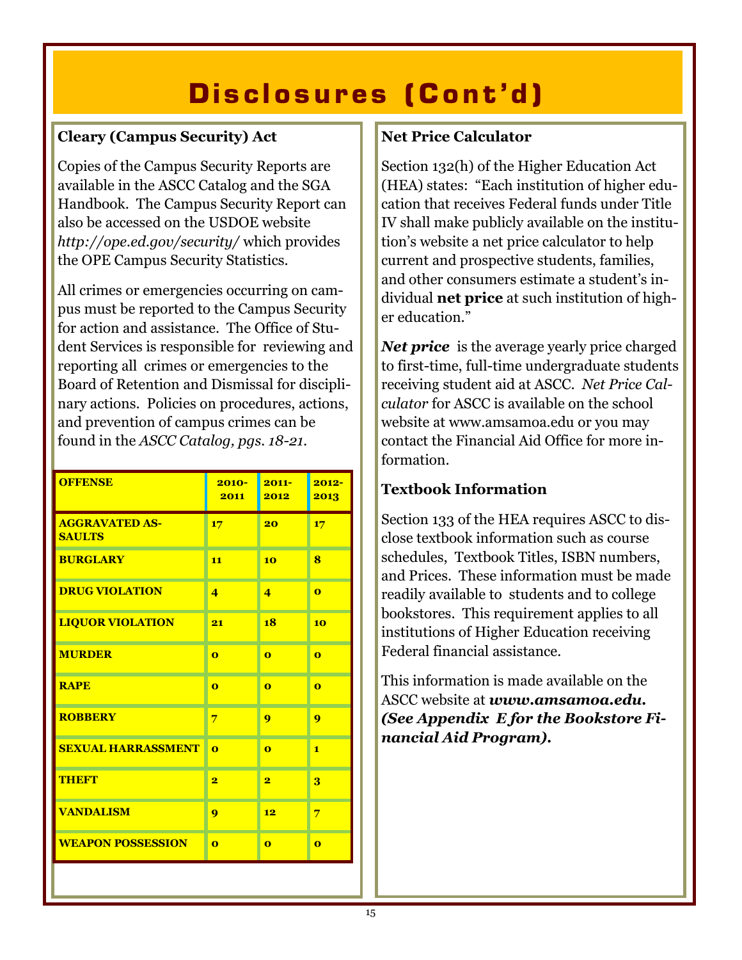## Disclosures (Cont'd)

### **Cleary (Campus Security) Act**

Copies of the Campus Security Reports are available in the ASCC Catalog and the SGA Handbook. The Campus Security Report can also be accessed on the USDOE website *http://ope.ed.gov/security/* which provides the OPE Campus Security Statistics.

All crimes or emergencies occurring on campus must be reported to the Campus Security for action and assistance. The Office of Student Services is responsible for reviewing and reporting all crimes or emergencies to the Board of Retention and Dismissal for disciplinary actions. Policies on procedures, actions, and prevention of campus crimes can be found in the *ASCC Catalog, pgs. 18-21.*

| <b>OFFENSE</b>                         | $2010 -$<br>2011        | $2011 -$<br>2012        | $2012 -$<br>2013        |
|----------------------------------------|-------------------------|-------------------------|-------------------------|
| <b>AGGRAVATED AS-</b><br><b>SAULTS</b> | 17                      | 20                      | 17                      |
| <b>BURGLARY</b>                        | 11                      | 10                      | 8                       |
| <b>DRUG VIOLATION</b>                  | $\overline{\mathbf{4}}$ | $\overline{\mathbf{4}}$ | $\overline{0}$          |
| <b>LIQUOR VIOLATION</b>                | 21                      | 18                      | 10                      |
| <b>MURDER</b>                          | $\overline{\mathbf{o}}$ | $\overline{\mathbf{o}}$ | $\overline{\mathbf{o}}$ |
| <b>RAPE</b>                            | $\overline{\mathbf{o}}$ | $\Omega$                | $\overline{0}$          |
| <b>ROBBERY</b>                         | 7                       | 9                       | 9                       |
| <b>SEXUAL HARRASSMENT</b>              | $\Omega$                | $\Omega$                | $\mathbf{1}$            |
| <b>THEFT</b>                           | $\overline{\mathbf{2}}$ | $\overline{\mathbf{2}}$ | 3                       |
| <b>VANDALISM</b>                       | 9                       | 12                      | 7                       |
| <b>WEAPON POSSESSION</b>               | $\Omega$                | $\Omega$                | $\Omega$                |

#### **Net Price Calculator**

Section 132(h) of the Higher Education Act (HEA) states: "Each institution of higher education that receives Federal funds under Title IV shall make publicly available on the institution's website a net price calculator to help current and prospective students, families, and other consumers estimate a student's individual **net price** at such institution of higher education."

*Net price* is the average yearly price charged to first-time, full-time undergraduate students receiving student aid at ASCC. *Net Price Calculator* for ASCC is available on the school website at www.amsamoa.edu or you may contact the Financial Aid Office for more information.

### **Textbook Information**

Section 133 of the HEA requires ASCC to disclose textbook information such as course schedules, Textbook Titles, ISBN numbers, and Prices. These information must be made readily available to students and to college bookstores. This requirement applies to all institutions of Higher Education receiving Federal financial assistance.

This information is made available on the ASCC website at *www.amsamoa.edu. (See Appendix E for the Bookstore Financial Aid Program).*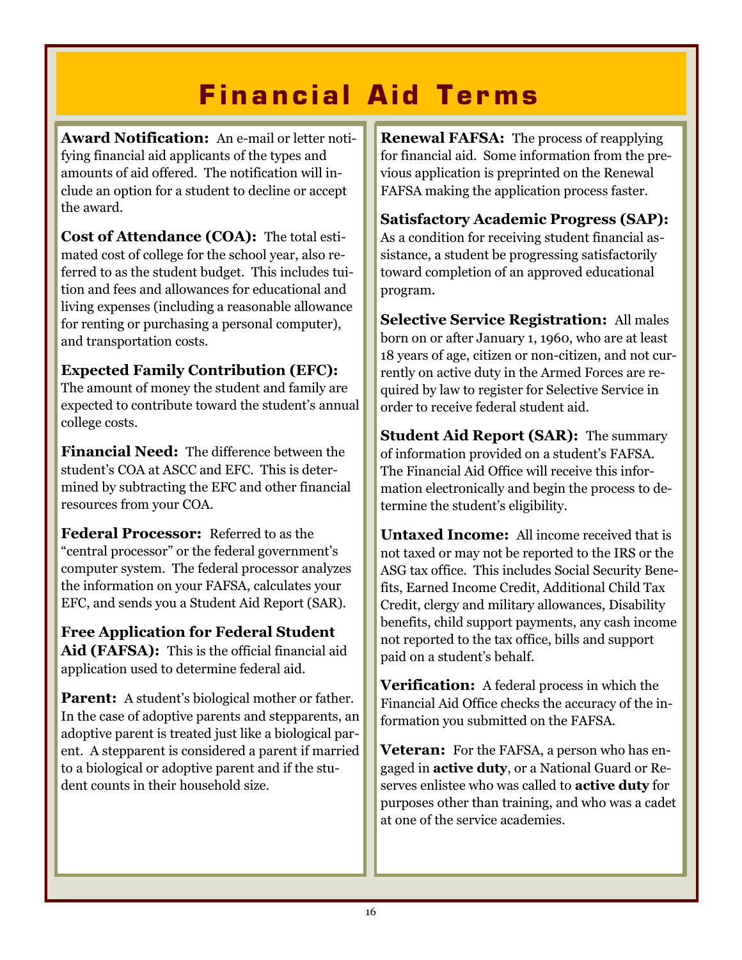## **Financial Aid Terms**

**Award Notification:** An e-mail or letter notifying financial aid applicants of the types and amounts of aid offered. The notification will include an option for a student to decline or accept the award.

**Cost of Attendance (COA):** The total estimated cost of college for the school year, also referred to as the student budget. This includes tuition and fees and allowances for educational and living expenses (including a reasonable allowance for renting or purchasing a personal computer), and transportation costs.

#### **Expected Family Contribution (EFC):**

The amount of money the student and family are expected to contribute toward the student's annual college costs.

**Financial Need:** The difference between the student's COA at ASCC and EFC. This is determined by subtracting the EFC and other financial resources from your COA.

**Federal Processor:** Referred to as the "central processor" or the federal government's computer system. The federal processor analyzes the information on your FAFSA, calculates your EFC, and sends you a Student Aid Report (SAR).

**Free Application for Federal Student Aid (FAFSA):** This is the official financial aid application used to determine federal aid.

**Parent:** A student's biological mother or father. In the case of adoptive parents and stepparents, an adoptive parent is treated just like a biological parent. A stepparent is considered a parent if married to a biological or adoptive parent and if the student counts in their household size.

**Renewal FAFSA:** The process of reapplying for financial aid. Some information from the previous application is preprinted on the Renewal FAFSA making the application process faster.

**Satisfactory Academic Progress (SAP):**  As a condition for receiving student financial assistance, a student be progressing satisfactorily toward completion of an approved educational program.

**Selective Service Registration:** All males born on or after January 1, 1960, who are at least 18 years of age, citizen or non-citizen, and not currently on active duty in the Armed Forces are required by law to register for Selective Service in order to receive federal student aid.

**Student Aid Report (SAR):** The summary of information provided on a student's FAFSA. The Financial Aid Office will receive this information electronically and begin the process to determine the student's eligibility.

**Untaxed Income:** All income received that is not taxed or may not be reported to the IRS or the ASG tax office. This includes Social Security Benefits, Earned Income Credit, Additional Child Tax Credit, clergy and military allowances, Disability benefits, child support payments, any cash income not reported to the tax office, bills and support paid on a student's behalf.

**Verification:** A federal process in which the Financial Aid Office checks the accuracy of the information you submitted on the FAFSA.

**Veteran:** For the FAFSA, a person who has engaged in **active duty**, or a National Guard or Reserves enlistee who was called to **active duty** for purposes other than training, and who was a cadet at one of the service academies.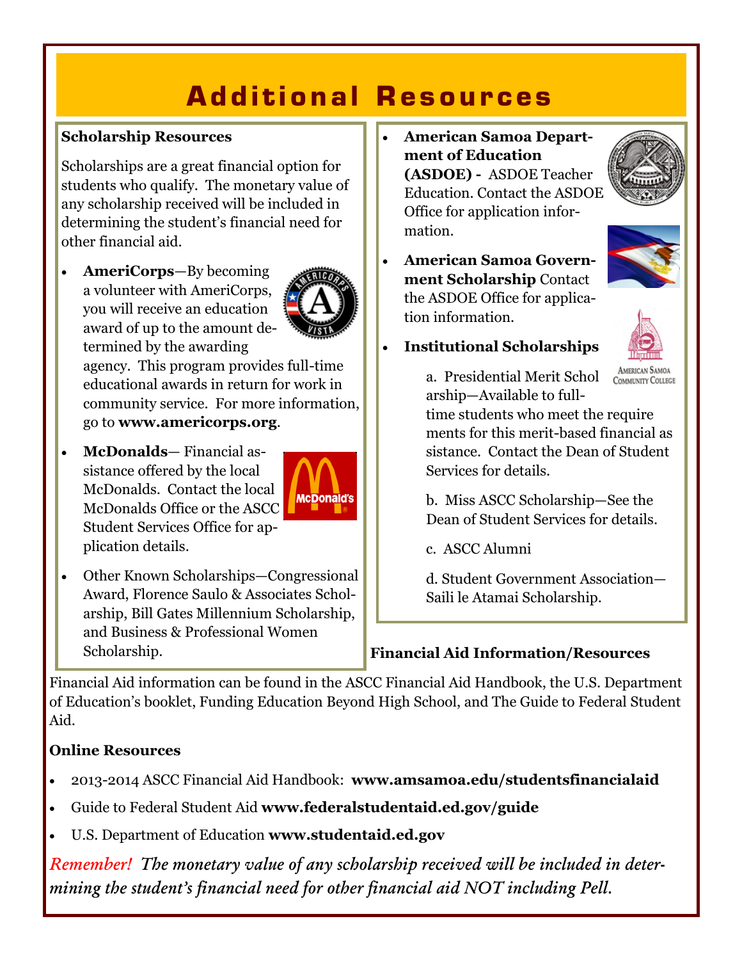## **Additional Resources**

### **Scholarship Resources**

Scholarships are a great financial option for students who qualify. The monetary value of any scholarship received will be included in determining the student's financial need for other financial aid.

 **AmeriCorps**—By becoming a volunteer with AmeriCorps, you will receive an education award of up to the amount determined by the awarding



agency. This program provides full-time educational awards in return for work in community service. For more information, go to **www.americorps.org**.

 **McDonalds**— Financial assistance offered by the local McDonalds. Contact the local McDonalds Office or the ASCC Student Services Office for application details.



 Other Known Scholarships—Congressional Award, Florence Saulo & Associates Scholarship, Bill Gates Millennium Scholarship, and Business & Professional Women Scholarship.

 **American Samoa Department of Education (ASDOE) -** ASDOE Teacher Education. Contact the ASDOE Office for application information.



 **American Samoa Government Scholarship** Contact the ASDOE Office for application information.



**Institutional Scholarships**

a. Presidential Merit Schol arship—Available to full-

AMERICAN SAMOA COMMUNITY COLLEGE

time students who meet the require ments for this merit-based financial as sistance. Contact the Dean of Student Services for details.

b. Miss ASCC Scholarship—See the Dean of Student Services for details.

c. ASCC Alumni

d. Student Government Association— Saili le Atamai Scholarship.

### **Financial Aid Information/Resources**

Financial Aid information can be found in the ASCC Financial Aid Handbook, the U.S. Department of Education's booklet, Funding Education Beyond High School, and The Guide to Federal Student Aid.

### **Online Resources**

- 2013-2014 ASCC Financial Aid Handbook: **www.amsamoa.edu/studentsfinancialaid**
- Guide to Federal Student Aid **www.federalstudentaid.ed.gov/guide**
- U.S. Department of Education **www.studentaid.ed.gov**

*Remember! The monetary value of any scholarship received will be included in determining the student's financial need for other financial aid NOT including Pell.*

 $\overline{a}$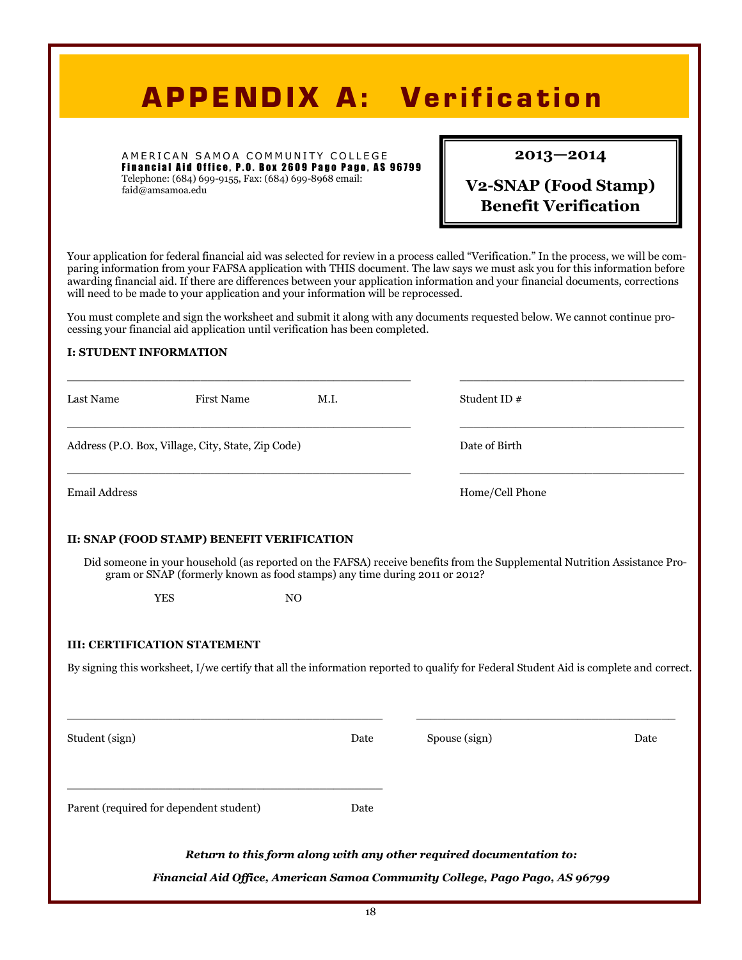## **APPENDIX A: Verification**

A MERICAN SAMOA COMMUNITY COLLEGE Financial Aid Office, P.O. Box 2609 Pago Pago, AS 96799 Telephone: (684) 699-9155, Fax: (684) 699-8968 email:

faid@amsamoa.edu

#### **2013—2014**

### **V2-SNAP (Food Stamp) Benefit Verification**

Your application for federal financial aid was selected for review in a process called "Verification." In the process, we will be comparing information from your FAFSA application with THIS document. The law says we must ask you for this information before awarding financial aid. If there are differences between your application information and your financial documents, corrections will need to be made to your application and your information will be reprocessed.

You must complete and sign the worksheet and submit it along with any documents requested below. We cannot continue processing your financial aid application until verification has been completed.

#### **I: STUDENT INFORMATION**

| Last Name      | <b>First Name</b>                                                          | M.I.           | Student ID#                                                                                                                           |      |
|----------------|----------------------------------------------------------------------------|----------------|---------------------------------------------------------------------------------------------------------------------------------------|------|
|                | Address (P.O. Box, Village, City, State, Zip Code)                         |                | Date of Birth                                                                                                                         |      |
| Email Address  |                                                                            |                | Home/Cell Phone                                                                                                                       |      |
|                | II: SNAP (FOOD STAMP) BENEFIT VERIFICATION                                 |                |                                                                                                                                       |      |
|                | gram or SNAP (formerly known as food stamps) any time during 2011 or 2012? |                | Did someone in your household (as reported on the FAFSA) receive benefits from the Supplemental Nutrition Assistance Pro-             |      |
|                | <b>YES</b>                                                                 | N <sub>O</sub> |                                                                                                                                       |      |
|                | <b>III: CERTIFICATION STATEMENT</b>                                        |                |                                                                                                                                       |      |
|                |                                                                            |                | By signing this worksheet, I/we certify that all the information reported to qualify for Federal Student Aid is complete and correct. |      |
| Student (sign) |                                                                            | Date           | Spouse (sign)                                                                                                                         | Date |
|                | Parent (required for dependent student)                                    | Date           |                                                                                                                                       |      |
|                |                                                                            |                | Return to this form along with any other required documentation to:                                                                   |      |
|                |                                                                            |                | Financial Aid Office, American Samoa Community College, Pago Pago, AS 96799                                                           |      |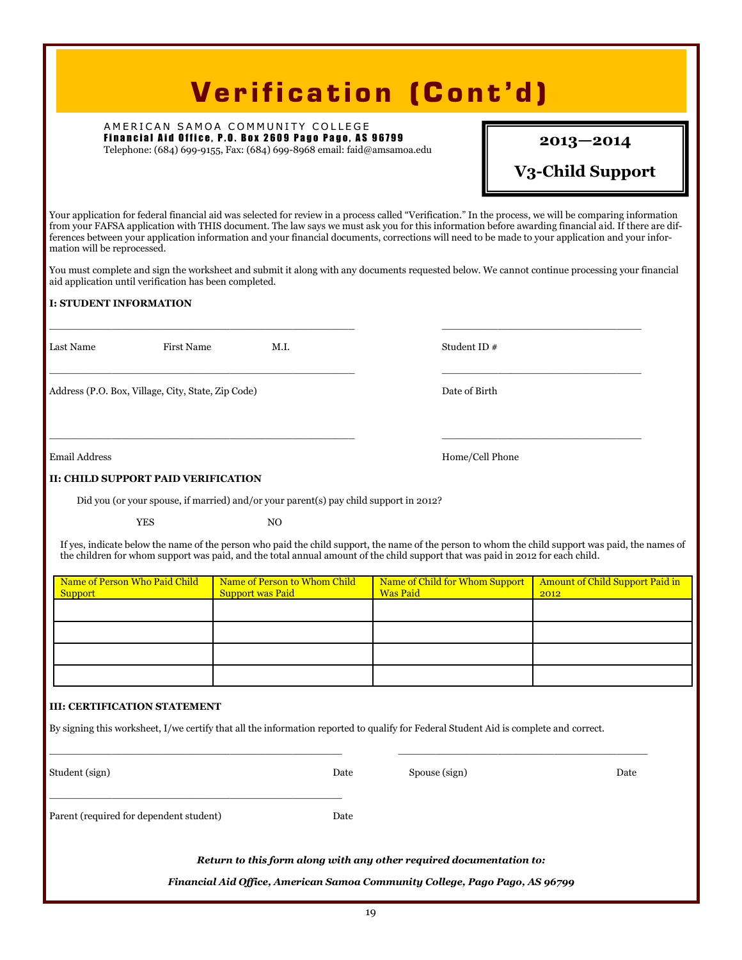### **Verification (Cont'd)**

A MERICAN SAMOA COMMUNITY COLLEGE Financial Aid Office, P.O. Box 2609 Pago Pago, AS 96799 Telephone: (684) 699-9155, Fax: (684) 699-8968 email: faid@amsamoa.edu

#### **2013—2014**

#### **V3-Child Support**

Your application for federal financial aid was selected for review in a process called "Verification." In the process, we will be comparing information from your FAFSA application with THIS document. The law says we must ask you for this information before awarding financial aid. If there are differences between your application information and your financial documents, corrections will need to be made to your application and your information will be reprocessed.

You must complete and sign the worksheet and submit it along with any documents requested below. We cannot continue processing your financial aid application until verification has been completed.

\_\_\_\_\_\_\_\_\_\_\_\_\_\_\_\_\_\_\_\_\_\_\_\_\_\_\_\_\_\_\_\_\_\_\_\_\_\_\_\_\_\_\_\_\_\_\_\_\_ \_\_\_\_\_\_\_\_\_\_\_\_\_\_\_\_\_\_\_\_\_\_\_\_\_\_\_\_\_\_\_\_

 $\_$  , and the set of the set of the set of the set of the set of the set of the set of the set of the set of the set of the set of the set of the set of the set of the set of the set of the set of the set of the set of th

\_\_\_\_\_\_\_\_\_\_\_\_\_\_\_\_\_\_\_\_\_\_\_\_\_\_\_\_\_\_\_\_\_\_\_\_\_\_\_\_\_\_\_\_\_\_\_\_\_ \_\_\_\_\_\_\_\_\_\_\_\_\_\_\_\_\_\_\_\_\_\_\_\_\_\_\_\_\_\_\_\_

#### **I: STUDENT INFORMATION**

Last Name First Name M.I. Student ID #

Address (P.O. Box, Village, City, State, Zip Code) Date of Birth

Email Address Home/Cell Phone

#### **II: CHILD SUPPORT PAID VERIFICATION**

Did you (or your spouse, if married) and/or your parent(s) pay child support in 2012?

YES NO

If yes, indicate below the name of the person who paid the child support, the name of the person to whom the child support was paid, the names of the children for whom support was paid, and the total annual amount of the child support that was paid in 2012 for each child.

| Name of Person Who Paid Child | Name of Person to Whom Child | Name of Child for Whom Support | <b>Amount of Child Support Paid in</b> |
|-------------------------------|------------------------------|--------------------------------|----------------------------------------|
| <b>Support</b>                | <b>Support was Paid</b>      | <b>Was Paid</b>                | 2012                                   |
|                               |                              |                                |                                        |
|                               |                              |                                |                                        |
|                               |                              |                                |                                        |
|                               |                              |                                |                                        |
|                               |                              |                                |                                        |
|                               |                              |                                |                                        |
|                               |                              |                                |                                        |
|                               |                              |                                |                                        |

#### **III: CERTIFICATION STATEMENT**

By signing this worksheet, I/we certify that all the information reported to qualify for Federal Student Aid is complete and correct.

| Student (sign)                          | Date | Spouse (sign)                                                       | Date |
|-----------------------------------------|------|---------------------------------------------------------------------|------|
| Parent (required for dependent student) | Date |                                                                     |      |
|                                         |      | Return to this form along with any other required documentation to: |      |

*Financial Aid Office, American Samoa Community College, Pago Pago, AS 96799*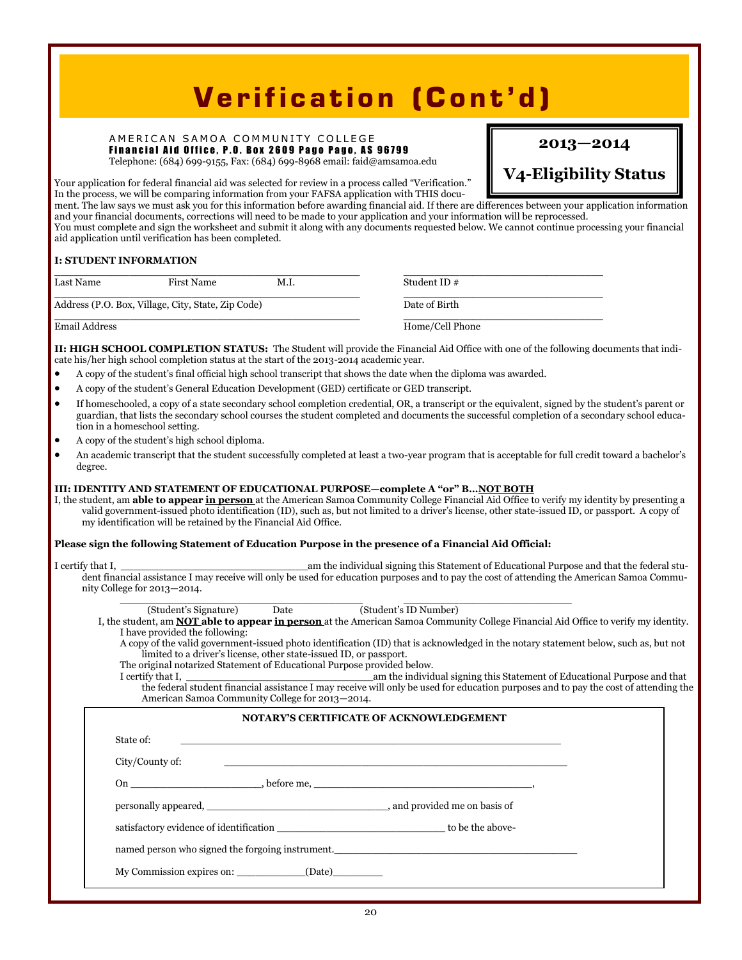### **Verification (Cont'd)**

#### A MERICAN SAMOA COMMUNITY COLLEGE Financial Aid Office, P.O. Box 2609 Pago Pago, AS 96799

Telephone: (684) 699-9155, Fax: (684) 699-8968 email: faid@amsamoa.edu

#### **2013—2014**

**V4-Eligibility Status** 

Your application for federal financial aid was selected for review in a process called "Verification." In the process, we will be comparing information from your FAFSA application with THIS docu-

ment. The law says we must ask you for this information before awarding financial aid. If there are differences between your application information and your financial documents, corrections will need to be made to your application and your information will be reprocessed. You must complete and sign the worksheet and submit it along with any documents requested below. We cannot continue processing your financial aid application until verification has been completed.

| I: STUDENT INFORMATION |                                                    |      |                 |  |
|------------------------|----------------------------------------------------|------|-----------------|--|
| Last Name              | <b>First Name</b>                                  | M.I. | Student ID#     |  |
|                        | Address (P.O. Box, Village, City, State, Zip Code) |      | Date of Birth   |  |
| Email Address          |                                                    |      | Home/Cell Phone |  |

**II: HIGH SCHOOL COMPLETION STATUS:** The Student will provide the Financial Aid Office with one of the following documents that indicate his/her high school completion status at the start of the 2013-2014 academic year.

- A copy of the student's final official high school transcript that shows the date when the diploma was awarded.
- A copy of the student's General Education Development (GED) certificate or GED transcript.
- If homeschooled, a copy of a state secondary school completion credential, OR, a transcript or the equivalent, signed by the student's parent or guardian, that lists the secondary school courses the student completed and documents the successful completion of a secondary school education in a homeschool setting.
- A copy of the student's high school diploma.
- An academic transcript that the student successfully completed at least a two-year program that is acceptable for full credit toward a bachelor's degree.

#### **III: IDENTITY AND STATEMENT OF EDUCATIONAL PURPOSE—complete A "or" B…NOT BOTH**

I, the student, am **able to appear in person** at the American Samoa Community College Financial Aid Office to verify my identity by presenting a valid government-issued photo identification (ID), such as, but not limited to a driver's license, other state-issued ID, or passport. A copy of my identification will be retained by the Financial Aid Office.

#### **Please sign the following Statement of Education Purpose in the presence of a Financial Aid Official:**

I certify that I, \_\_\_\_\_\_\_\_\_\_\_\_\_\_\_\_\_\_\_\_\_\_\_\_\_\_\_\_\_\_am the individual signing this Statement of Educational Purpose and that the federal student financial assistance I may receive will only be used for education purposes and to pay the cost of attending the American Samoa Community College for 2013—2014.  $\overline{\phantom{a}}$  , and the set of the set of the set of the set of the set of the set of the set of the set of the set of the set of the set of the set of the set of the set of the set of the set of the set of the set of the s

My Commission expires on:  $(Date)$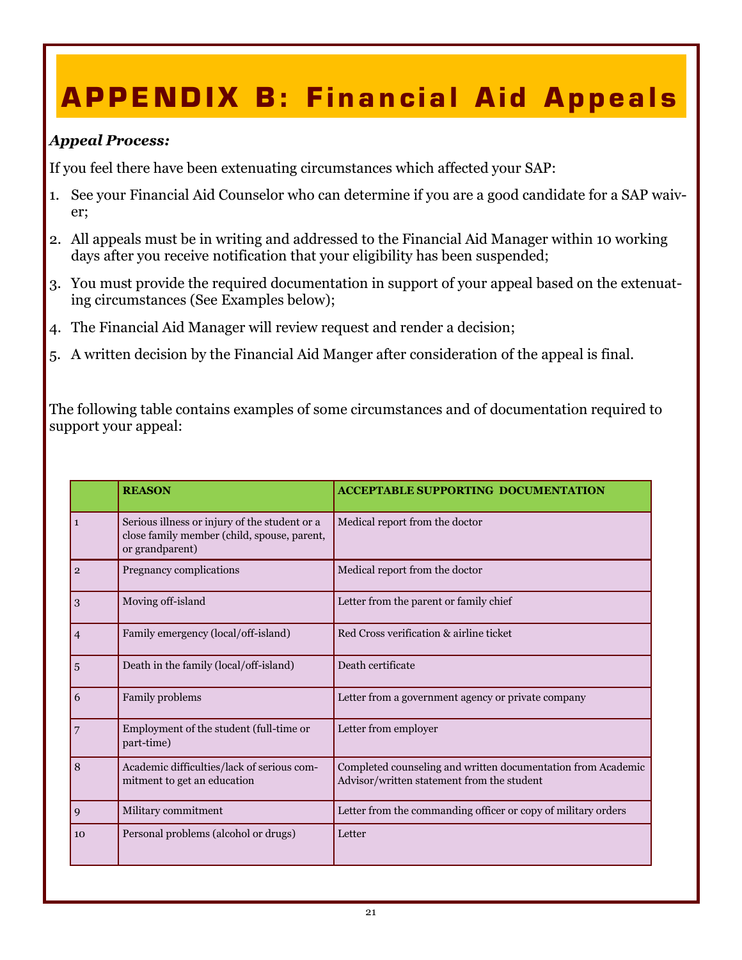# **APPENDIX B: Financial Aid Appeals**

#### *Appeal Process:*

If you feel there have been extenuating circumstances which affected your SAP:

- 1. See your Financial Aid Counselor who can determine if you are a good candidate for a SAP waiver;
- 2. All appeals must be in writing and addressed to the Financial Aid Manager within 10 working days after you receive notification that your eligibility has been suspended;
- 3. You must provide the required documentation in support of your appeal based on the extenuating circumstances (See Examples below);
- 4. The Financial Aid Manager will review request and render a decision;
- 5. A written decision by the Financial Aid Manger after consideration of the appeal is final.

The following table contains examples of some circumstances and of documentation required to support your appeal:

|                | <b>REASON</b>                                                                                                   | <b>ACCEPTABLE SUPPORTING DOCUMENTATION</b>                                                                 |
|----------------|-----------------------------------------------------------------------------------------------------------------|------------------------------------------------------------------------------------------------------------|
| $\mathbf{1}$   | Serious illness or injury of the student or a<br>close family member (child, spouse, parent,<br>or grandparent) | Medical report from the doctor                                                                             |
| $\overline{2}$ | Pregnancy complications                                                                                         | Medical report from the doctor                                                                             |
| 3              | Moving off-island                                                                                               | Letter from the parent or family chief                                                                     |
| $\overline{4}$ | Family emergency (local/off-island)                                                                             | Red Cross verification & airline ticket                                                                    |
| 5              | Death in the family (local/off-island)                                                                          | Death certificate                                                                                          |
| 6              | Family problems                                                                                                 | Letter from a government agency or private company                                                         |
| 7              | Employment of the student (full-time or<br>part-time)                                                           | Letter from employer                                                                                       |
| 8              | Academic difficulties/lack of serious com-<br>mitment to get an education                                       | Completed counseling and written documentation from Academic<br>Advisor/written statement from the student |
| 9              | Military commitment                                                                                             | Letter from the commanding officer or copy of military orders                                              |
| 10             | Personal problems (alcohol or drugs)                                                                            | Letter                                                                                                     |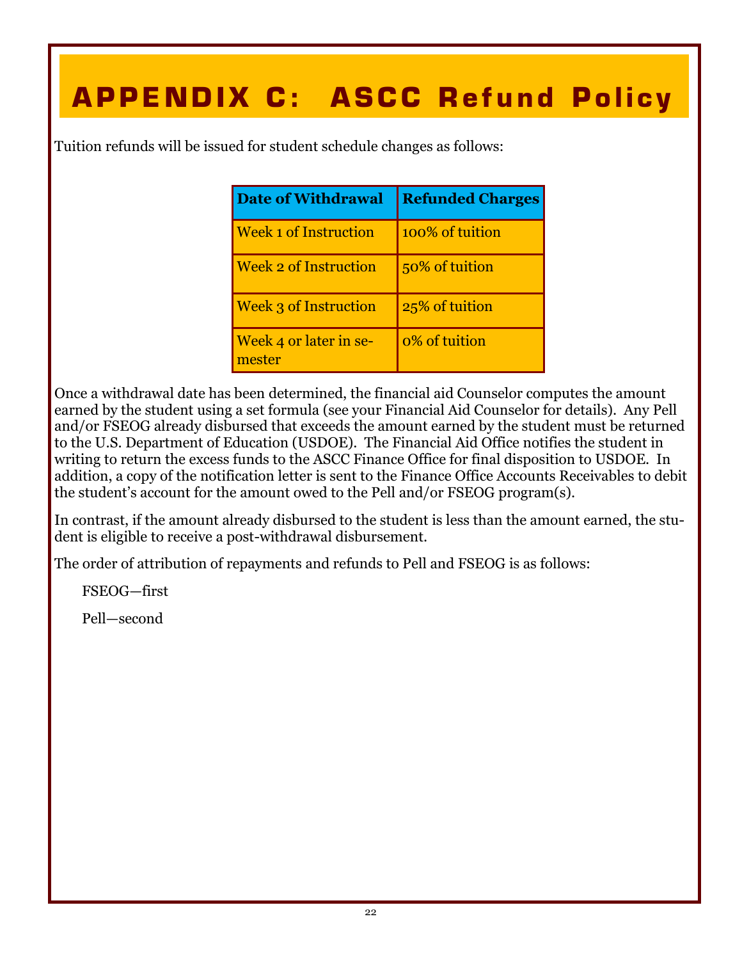# **APPENDIX C: ASCC Refund Policy**

Tuition refunds will be issued for student schedule changes as follows:

| <b>Date of Withdrawal</b>        | <b>Refunded Charges</b> |
|----------------------------------|-------------------------|
| <b>Week 1 of Instruction</b>     | 100% of tuition         |
| <b>Week 2 of Instruction</b>     | 50% of tuition          |
| <b>Week 3 of Instruction</b>     | 25% of tuition          |
| Week 4 or later in se-<br>mester | 0% of tuition           |

Once a withdrawal date has been determined, the financial aid Counselor computes the amount earned by the student using a set formula (see your Financial Aid Counselor for details). Any Pell and/or FSEOG already disbursed that exceeds the amount earned by the student must be returned to the U.S. Department of Education (USDOE). The Financial Aid Office notifies the student in writing to return the excess funds to the ASCC Finance Office for final disposition to USDOE. In addition, a copy of the notification letter is sent to the Finance Office Accounts Receivables to debit the student's account for the amount owed to the Pell and/or FSEOG program(s).

In contrast, if the amount already disbursed to the student is less than the amount earned, the student is eligible to receive a post-withdrawal disbursement.

The order of attribution of repayments and refunds to Pell and FSEOG is as follows:

FSEOG—first

Pell—second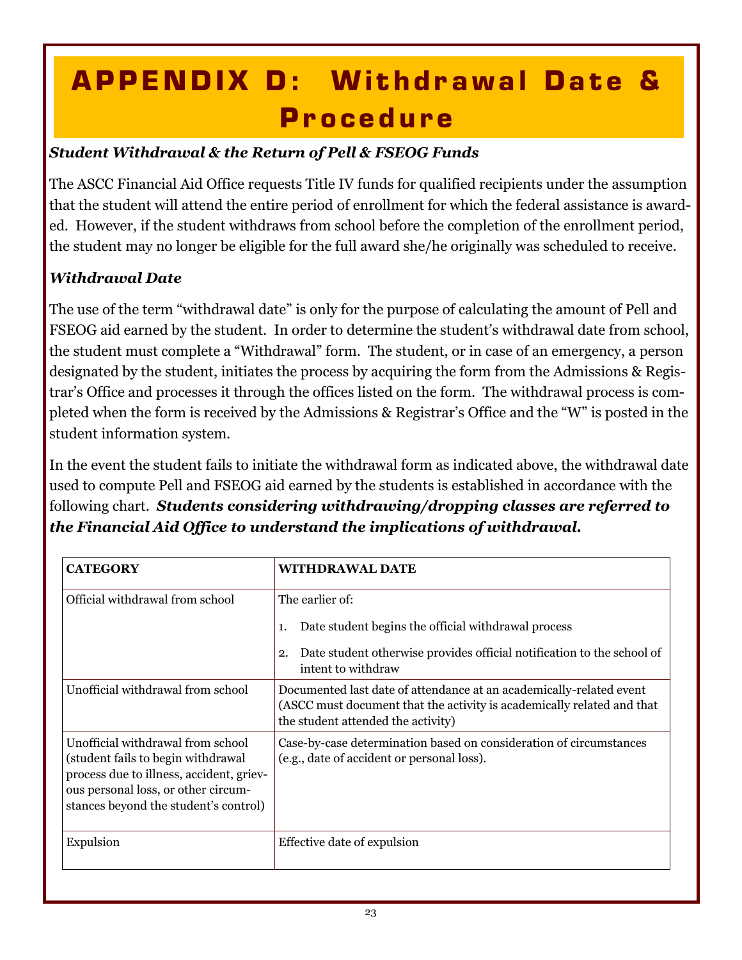# **APPENDIX D: Withdrawal Date & P r o c e d u r e**

### *Student Withdrawal & the Return of Pell & FSEOG Funds*

The ASCC Financial Aid Office requests Title IV funds for qualified recipients under the assumption that the student will attend the entire period of enrollment for which the federal assistance is awarded. However, if the student withdraws from school before the completion of the enrollment period, the student may no longer be eligible for the full award she/he originally was scheduled to receive.

### *Withdrawal Date*

The use of the term "withdrawal date" is only for the purpose of calculating the amount of Pell and FSEOG aid earned by the student. In order to determine the student's withdrawal date from school, the student must complete a "Withdrawal" form. The student, or in case of an emergency, a person designated by the student, initiates the process by acquiring the form from the Admissions & Registrar's Office and processes it through the offices listed on the form. The withdrawal process is completed when the form is received by the Admissions & Registrar's Office and the "W" is posted in the student information system.

In the event the student fails to initiate the withdrawal form as indicated above, the withdrawal date used to compute Pell and FSEOG aid earned by the students is established in accordance with the following chart. *Students considering withdrawing/dropping classes are referred to the Financial Aid Office to understand the implications of withdrawal.*

| <b>CATEGORY</b>                                                                                                                                                                                     | <b>WITHDRAWAL DATE</b>                                                                                                                                                              |  |
|-----------------------------------------------------------------------------------------------------------------------------------------------------------------------------------------------------|-------------------------------------------------------------------------------------------------------------------------------------------------------------------------------------|--|
| Official withdrawal from school                                                                                                                                                                     | The earlier of:<br>Date student begins the official withdrawal process<br>1.<br>Date student otherwise provides official notification to the school of<br>2.<br>intent to withdraw  |  |
| Unofficial withdrawal from school                                                                                                                                                                   | Documented last date of attendance at an academically-related event<br>(ASCC must document that the activity is academically related and that<br>the student attended the activity) |  |
| Unofficial withdrawal from school<br>(student fails to begin withdrawal<br>process due to illness, accident, griev-<br>ous personal loss, or other circum-<br>stances beyond the student's control) | Case-by-case determination based on consideration of circumstances<br>(e.g., date of accident or personal loss).                                                                    |  |
| Expulsion                                                                                                                                                                                           | Effective date of expulsion                                                                                                                                                         |  |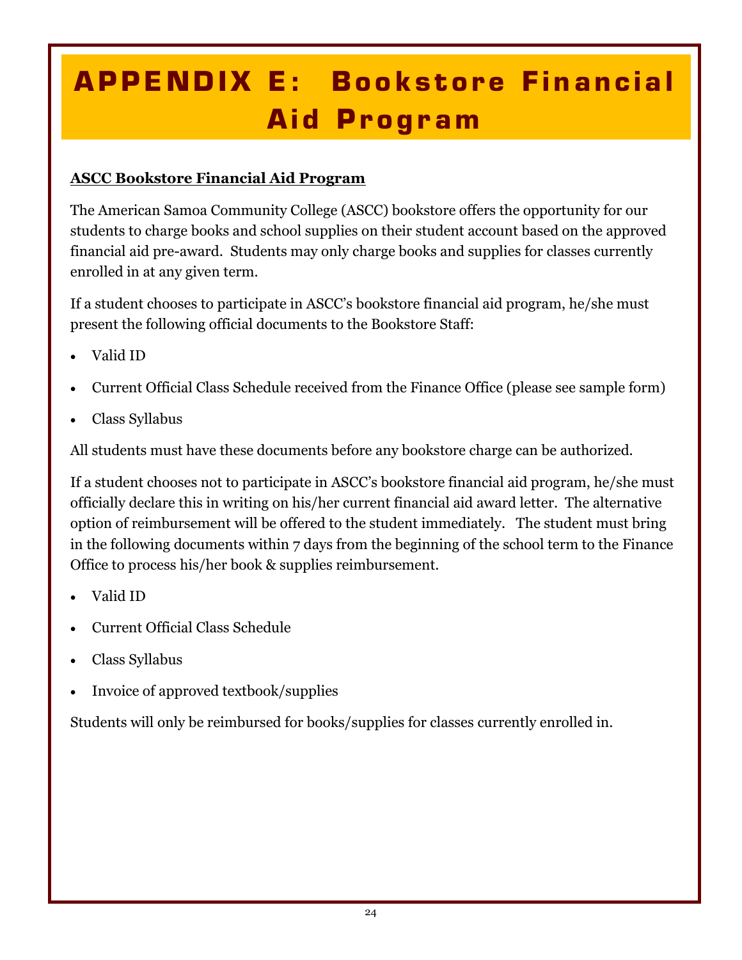# **APPENDIX E: Bookstore Financial Aid Program**

#### **ASCC Bookstore Financial Aid Program**

The American Samoa Community College (ASCC) bookstore offers the opportunity for our students to charge books and school supplies on their student account based on the approved financial aid pre-award. Students may only charge books and supplies for classes currently enrolled in at any given term.

If a student chooses to participate in ASCC's bookstore financial aid program, he/she must present the following official documents to the Bookstore Staff:

- Valid ID
- Current Official Class Schedule received from the Finance Office (please see sample form)
- Class Syllabus

All students must have these documents before any bookstore charge can be authorized.

If a student chooses not to participate in ASCC's bookstore financial aid program, he/she must officially declare this in writing on his/her current financial aid award letter. The alternative option of reimbursement will be offered to the student immediately. The student must bring in the following documents within 7 days from the beginning of the school term to the Finance Office to process his/her book & supplies reimbursement.

- Valid ID
- Current Official Class Schedule
- Class Syllabus
- Invoice of approved textbook/supplies

Students will only be reimbursed for books/supplies for classes currently enrolled in.